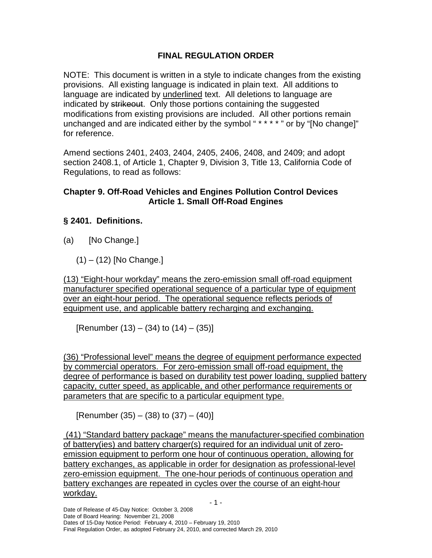# **FINAL REGULATION ORDER**

 NOTE: This document is written in a style to indicate changes from the existing provisions. All existing language is indicated in plain text. All additions to language are indicated by underlined text. All deletions to language are indicated by strikeout. Only those portions containing the suggested modifications from existing provisions are included. All other portions remain unchanged and are indicated either by the symbol "\*\*\*\*" or by "[No change]" for reference.

 Amend sections 2401, 2403, 2404, 2405, 2406, 2408, and 2409; and adopt section 2408.1, of Article 1, Chapter 9, Division 3, Title 13, California Code of Regulations, to read as follows:

## **Chapter 9. Off-Road Vehicles and Engines Pollution Control Devices Article 1. Small Off-Road Engines**

# **§ 2401. Definitions.**

 $(a)$ [No Change.]

(1) – (12) [No Change.]

 (13) "Eight-hour workday" means the zero-emission small off-road equipment manufacturer specified operational sequence of a particular type of equipment over an eight-hour period. The operational sequence reflects periods of equipment use, and applicable battery recharging and exchanging.

[Renumber  $(13) - (34)$  to  $(14) - (35)$ ]

 (36) "Professional level" means the degree of equipment performance expected by commercial operators. For zero-emission small off-road equipment, the degree of performance is based on durability test power loading, supplied battery capacity, cutter speed, as applicable, and other performance requirements or parameters that are specific to a particular equipment type.

[Renumber  $(35) - (38)$  to  $(37) - (40)$ ]

 (41) "Standard battery package" means the manufacturer-specified combination of battery(ies) and battery charger(s) required for an individual unit of zero- emission equipment to perform one hour of continuous operation, allowing for battery exchanges, as applicable in order for designation as professional-level zero-emission equipment. The one-hour periods of continuous operation and battery exchanges are repeated in cycles over the course of an eight-hour workday. workday.<br>- 1 -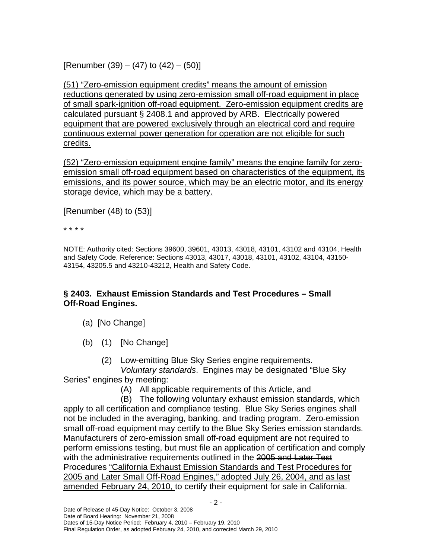[Renumber  $(39) - (47)$  to  $(42) - (50)$ ]

 (51) "Zero-emission equipment credits" means the amount of emission reductions generated by using zero-emission small off-road equipment in place of small spark-ignition off-road equipment. Zero-emission equipment credits are calculated pursuant § 2408.1 and approved by ARB. Electrically powered equipment that are powered exclusively through an electrical cord and require continuous external power generation for operation are not eligible for such credits.

<u>credits.</u><br>(52) "Zero-emission equipment engine family" means the engine family for zero- emission small off-road equipment based on characteristics of the equipment, its emissions, and its power source, which may be an electric motor, and its energy storage device, which may be a battery.

[Renumber (48) to (53)]

\* \* \* \*

 and Safety Code. Reference: Sections 43013, 43017, 43018, 43101, 43102, 43104, 43150- 43154, 43205.5 and 43210-43212, Health and Safety Code. NOTE: Authority cited: Sections 39600, 39601, 43013, 43018, 43101, 43102 and 43104, Health

# **§ 2403. Exhaust Emission Standards and Test Procedures – Small Off-Road Engines.**

- (a) [No Change]
- (b) (1) [No Change]

(2) Low-emitting Blue Sky Series engine requirements. Voluntary standards. Engines may be designated "Blue Sky

Series" engines by meeting:

(A) All applicable requirements of this Article, and

 apply to all certification and compliance testing. Blue Sky Series engines shall not be included in the averaging, banking, and trading program. Zero-emission small off-road equipment may certify to the Blue Sky Series emission standards. Manufacturers of zero-emission small off-road equipment are not required to perform emissions testing, but must file an application of certification and comply with the administrative requirements outlined in the 2005 and Later Test Procedures "California Exhaust Emission Standards and Test Procedures for 2005 and Later Small Off-Road Engines," adopted July 26, 2004, and as last amended February 24, 2010, to certify their equipment for sale in California. (B) The following voluntary exhaust emission standards, which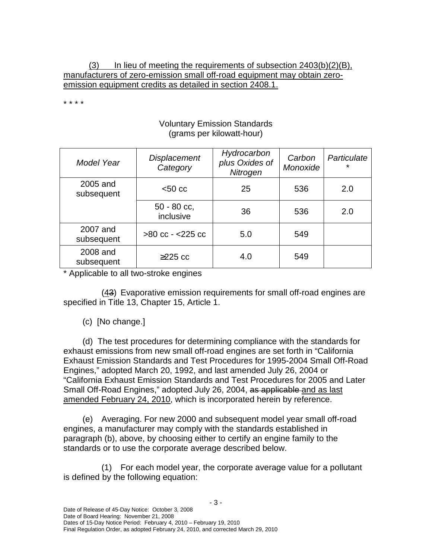$(3)$  manufacturers of zero-emission small off-road equipment may obtain zero- emission equipment credits as detailed in section 2408.1. In lieu of meeting the requirements of subsection  $2403(b)(2)(B)$ ,

\* \* \* \*

### Voluntary Emission Standards (grams per kilowatt-hour)

| Model Year             | <b>Displacement</b><br>Category | Hydrocarbon<br>plus Oxides of<br>Nitrogen | Carbon<br>Monoxide | Particulate<br>* |
|------------------------|---------------------------------|-------------------------------------------|--------------------|------------------|
| 2005 and<br>subsequent | $< 50 \text{ cc}$               | 25                                        | 536                | 2.0              |
|                        | $50 - 80$ cc,<br>inclusive      | 36                                        | 536                | 2.0              |
| 2007 and<br>subsequent | $>80$ cc - $<$ 225 cc           | 5.0                                       | 549                |                  |
| 2008 and<br>subsequent | $\geq$ 225 cc                   | 4.0                                       | 549                |                  |

\* Applicable to all two-stroke engines

 specified in Title 13, Chapter 15, Article 1. (43) Evaporative emission requirements for small off-road engines are

(c) [No change.]

 exhaust emissions from new small off-road engines are set forth in "California Exhaust Emission Standards and Test Procedures for 1995-2004 Small Off-Road Engines," adopted March 20, 1992, and last amended July 26, 2004 or "California Exhaust Emission Standards and Test Procedures for 2005 and Later Small Off-Road Engines," adopted July 26, 2004, as applicable and as last amended February 24, 2010, which is incorporated herein by reference. (d) The test procedures for determining compliance with the standards for

 engines, a manufacturer may comply with the standards established in paragraph (b), above, by choosing either to certify an engine family to the standards or to use the corporate average described below. (e) Averaging. For new 2000 and subsequent model year small off-road

 is defined by the following equation: (1) For each model year, the corporate average value for a pollutant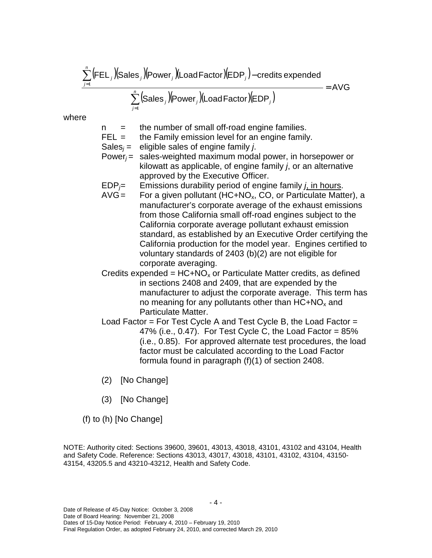∑ *n* (FEL *j* )(Sales *j* )(Power*j* )(LoadFactor)(EDP*j* )− credits expended *j*=1  $=$  AVG

∑ *n* (Sales *j* )(Power*j* )(LoadFactor)(EDP*j* ) *j*=1

where

- $n =$  the number of small off-road engine families.
- $FEL =$  the Family emission level for an engine family.
- Sales<sub>i</sub> = eligible sales of engine family *j*.
- kilowatt as applicable, of engine family  $j$ , or an alternative approved by the Executive Officer. Power $i =$  sales-weighted maximum modal power, in horsepower or
- $EDP<sub>j</sub>=$  Emissions durability period of engine family *j*, in hours.
- manufacturer's corporate average of the exhaust emissions from those California small off-road engines subject to the California corporate average pollutant exhaust emission standard, as established by an Executive Order certifying the California production for the model year. Engines certified to voluntary standards of 2403 (b)(2) are not eligible for corporate averaging. AVG = For a given pollutant (HC+NO<sub>x</sub>, CO, or Particulate Matter), a
- in sections 2408 and 2409, that are expended by the manufacturer to adjust the corporate average. This term has no meaning for any pollutants other than  $HC+NO_x$  and Particulate Matter. Credits expended =  $HC + NO_x$  or Particulate Matter credits, as defined
- 47% (i.e., 0.47). For Test Cycle C, the Load Factor =  $85\%$  (i.e., 0.85). For approved alternate test procedures, the load factor must be calculated according to the Load Factor formula found in paragraph (f)(1) of section 2408. Load Factor = For Test Cycle A and Test Cycle B, the Load Factor =
- (2) [No Change]
- (3) [No Change]

(f) to (h) [No Change]

 and Safety Code. Reference: Sections 43013, 43017, 43018, 43101, 43102, 43104, 43150- 43154, 43205.5 and 43210-43212, Health and Safety Code. NOTE: Authority cited: Sections 39600, 39601, 43013, 43018, 43101, 43102 and 43104, Health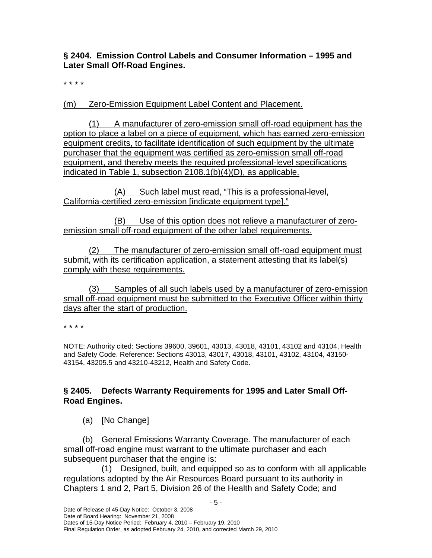**§ 2404. Emission Control Labels and Consumer Information – 1995 and Later Small Off-Road Engines.** 

\* \* \* \*

(m) Zero-Emission Equipment Label Content and Placement.

 (1) A manufacturer of zero-emission small off-road equipment has the option to place a label on a piece of equipment, which has earned zero-emission equipment credits, to facilitate identification of such equipment by the ultimate purchaser that the equipment was certified as zero-emission small off-road equipment, and thereby meets the required professional-level specifications indicated in Table 1, subsection 2108.1(b)(4)(D), as applicable.

 (A) Such label must read, "This is a professional-level, California-certified zero-emission [indicate equipment type]."

 (B) Use of this option does not relieve a manufacturer of zero-emission small off-road equipment of the other label requirements.

 $(2)$  submit, with its certification application, a statement attesting that its label(s) comply with these requirements. The manufacturer of zero-emission small off-road equipment must

 (3) Samples of all such labels used by a manufacturer of zero-emission small off-road equipment must be submitted to the Executive Officer within thirty days after the start of production.

\* \* \* \*

 NOTE: Authority cited: Sections 39600, 39601, 43013, 43018, 43101, 43102 and 43104, Health and Safety Code. Reference: Sections 43013, 43017, 43018, 43101, 43102, 43104, 43150- 43154, 43205.5 and 43210-43212, Health and Safety Code.

# **§ 2405. Defects Warranty Requirements for 1995 and Later Small Off- Road Engines.**

(a) [No Change]

 small off-road engine must warrant to the ultimate purchaser and each subsequent purchaser that the engine is: (b) General Emissions Warranty Coverage. The manufacturer of each

 regulations adopted by the Air Resources Board pursuant to its authority in Chapters 1 and 2, Part 5, Division 26 of the Health and Safety Code; and (1) Designed, built, and equipped so as to conform with all applicable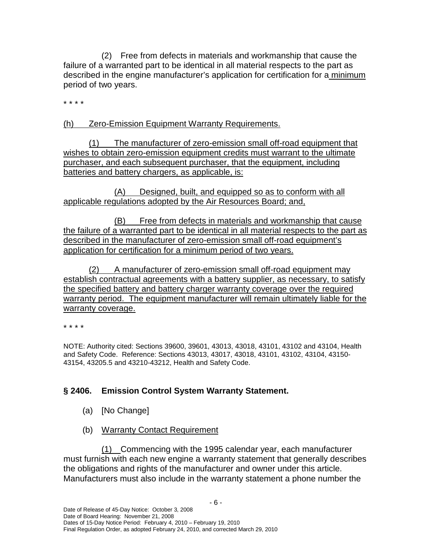failure of a warranted part to be identical in all material respects to the part as described in the engine manufacturer's application for certification for a minimum period of two years. (2) Free from defects in materials and workmanship that cause the

\* \* \* \*

(h) Zero-Emission Equipment Warranty Requirements.

 $(1)$ wishes to obtain zero-emission equipment credits must warrant to the ultimate purchaser, and each subsequent purchaser, that the equipment, including batteries and battery chargers, as applicable, is: The manufacturer of zero-emission small off-road equipment that

 (A) Designed, built, and equipped so as to conform with all applicable regulations adopted by the Air Resources Board; and,

(B) the failure of a warranted part to be identical in all material respects to the part as described in the manufacturer of zero-emission small off-road equipment's application for certification for a minimum period of two years. Free from defects in materials and workmanship that cause

 $(2)$  establish contractual agreements with a battery supplier, as necessary, to satisfy the specified battery and battery charger warranty coverage over the required warranty period. The equipment manufacturer will remain ultimately liable for the (2) A manufacturer of zero-emission small off-road equipment may warranty coverage.

\* \* \* \*

 NOTE: Authority cited: Sections 39600, 39601, 43013, 43018, 43101, 43102 and 43104, Health and Safety Code. Reference: Sections 43013, 43017, 43018, 43101, 43102, 43104, 43150- 43154, 43205.5 and 43210-43212, Health and Safety Code.

# **§ 2406. Emission Control System Warranty Statement.**

- (a) [No Change]
- (b) Warranty Contact Requirement

 must furnish with each new engine a warranty statement that generally describes the obligations and rights of the manufacturer and owner under this article. Manufacturers must also include in the warranty statement a phone number the (1) Commencing with the 1995 calendar year, each manufacturer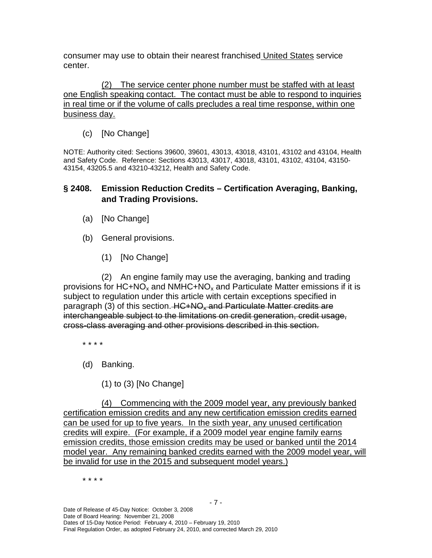consumer may use to obtain their nearest franchised United States service center.

 one English speaking contact. The contact must be able to respond to inquiries in real time or if the volume of calls precludes a real time response, within one business day. (2) The service center phone number must be staffed with at least

(c) [No Change]

 NOTE: Authority cited: Sections 39600, 39601, 43013, 43018, 43101, 43102 and 43104, Health and Safety Code. Reference: Sections 43013, 43017, 43018, 43101, 43102, 43104, 43150- 43154, 43205.5 and 43210-43212, Health and Safety Code.

#### **and Trading Provisions. § 2408. Emission Reduction Credits – Certification Averaging, Banking,**

- (a) [No Change]
- (b) General provisions.
	- (1) [No Change]

provisions for HC+NO<sub>x</sub> and NMHC+NO<sub>x</sub> and Particulate Matter emissions if it is subject to regulation under this article with certain exceptions specified in paragraph (3) of this section. HC+NO<sub>x</sub> and Particulate Matter credits are interchangeable subject to the limitations on credit generation, credit usage, cross-class averaging and other provisions described in this section. (2) An engine family may use the averaging, banking and trading

- \* \* \* \*
- (d) Banking.
	- (1) to (3) [No Change]

 certification emission credits and any new certification emission credits earned can be used for up to five years. In the sixth year, any unused certification credits will expire. (For example, if a 2009 model year engine family earns emission credits, those emission credits may be used or banked until the 2014 model year. Any remaining banked credits earned with the 2009 model year, will be invalid for use in the 2015 and subsequent model years.) (4) Commencing with the 2009 model year, any previously banked

\* \* \* \*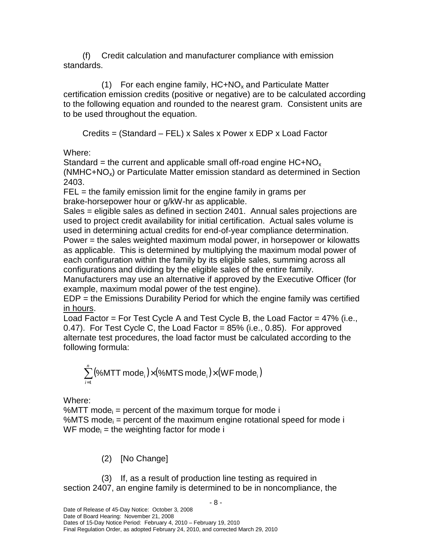standards. (f) Credit calculation and manufacturer compliance with emission

 certification emission credits (positive or negative) are to be calculated according to the following equation and rounded to the nearest gram. Consistent units are to be used throughout the equation. (1) For each engine family,  $HC+NO_x$  and Particulate Matter

Credits = (Standard – FEL) x Sales x Power x EDP x Load Factor

Where:

Where:<br>Standard = the current and applicable small off-road engine HC+NO<sub>x</sub>  $(NMHC+NO<sub>x</sub>)$  or Particulate Matter emission standard as determined in Section 2403.

 FEL = the family emission limit for the engine family in grams per brake-horsepower hour or g/kW-hr as applicable.

 Sales = eligible sales as defined in section 2401. Annual sales projections are used to project credit availability for initial certification. Actual sales volume is used in determining actual credits for end-of-year compliance determination. Power = the sales weighted maximum modal power, in horsepower or kilowatts as applicable. This is determined by multiplying the maximum modal power of each configuration within the family by its eligible sales, summing across all configurations and dividing by the eligible sales of the entire family.

 Manufacturers may use an alternative if approved by the Executive Officer (for example, maximum modal power of the test engine).

 EDP = the Emissions Durability Period for which the engine family was certified <u>in hours</u>.

 Load Factor = For Test Cycle A and Test Cycle B, the Load Factor = 47% (i.e., 0.47). For Test Cycle C, the Load Factor = 85% (i.e., 0.85). For approved alternate test procedures, the load factor must be calculated according to the following formula:

$$
\sum_{i=1}^n \bigl(\text{\%MTT mode}_i\bigl) \times \bigl(\text{\%MTS mode}_i\bigr) \times \bigl(\text{WF mode}_i\bigr)
$$

Where:

Where:<br>%MTT mode<sub>i</sub> = percent of the maximum torque for mode i %MTS mode<sub>i</sub> = percent of the maximum engine rotational speed for mode i WF mode $_i$  = the weighting factor for mode i

(2) [No Change]

 section 2407, an engine family is determined to be in noncompliance, the (3) If, as a result of production line testing as required in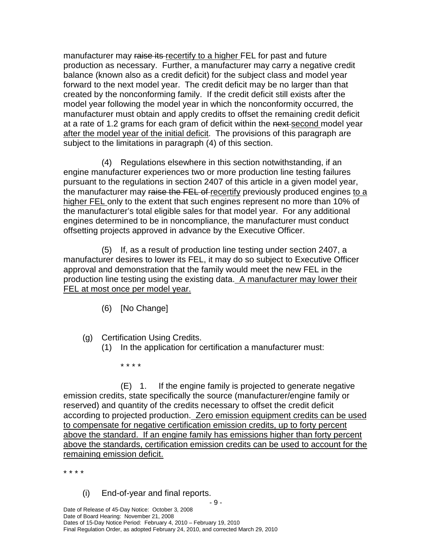manufacturer may raise its recertify to a higher FEL for past and future production as necessary. Further, a manufacturer may carry a negative credit balance (known also as a credit deficit) for the subject class and model year forward to the next model year. The credit deficit may be no larger than that created by the nonconforming family. If the credit deficit still exists after the model year following the model year in which the nonconformity occurred, the manufacturer must obtain and apply credits to offset the remaining credit deficit at a rate of 1.2 grams for each gram of deficit within the next second model year after the model year of the initial deficit. The provisions of this paragraph are subject to the limitations in paragraph (4) of this section.

 engine manufacturer experiences two or more production line testing failures pursuant to the regulations in section 2407 of this article in a given model year, the manufacturer may raise the FEL of recertify previously produced engines to a higher FEL only to the extent that such engines represent no more than 10% of the manufacturer's total eligible sales for that model year. For any additional engines determined to be in noncompliance, the manufacturer must conduct offsetting projects approved in advance by the Executive Officer. (4) Regulations elsewhere in this section notwithstanding, if an

 manufacturer desires to lower its FEL, it may do so subject to Executive Officer approval and demonstration that the family would meet the new FEL in the production line testing using the existing data. A manufacturer may lower their FEL at most once per model year. (5) If, as a result of production line testing under section 2407, a

- (6) [No Change]
- (g) Certification Using Credits.
	- (1) In the application for certification a manufacturer must:

\* \* \* \*

 emission credits, state specifically the source (manufacturer/engine family or reserved) and quantity of the credits necessary to offset the credit deficit according to projected production. Zero emission equipment credits can be used to compensate for negative certification emission credits, up to forty percent above the standard. If an engine family has emissions higher than forty percent above the standards, certification emission credits can be used to account for the remaining emission deficit. (E) 1. If the engine family is projected to generate negative

\* \* \* \*

(i) End-of-year and final reports.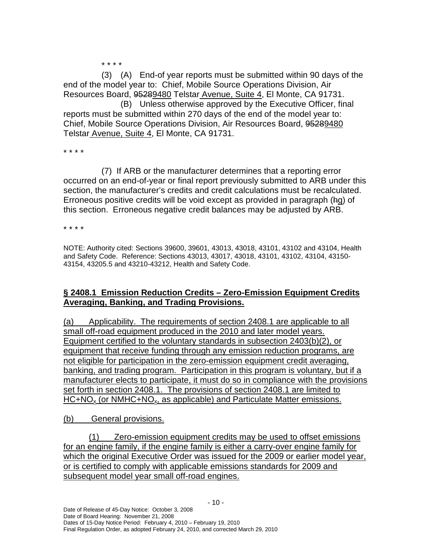\* \* \* \*

 end of the model year to: Chief, Mobile Source Operations Division, Air Resources Board, 95289480 Telstar Avenue, Suite 4, El Monte, CA 91731. (3) (A) End-of year reports must be submitted within 90 days of the

 reports must be submitted within 270 days of the end of the model year to: Chief, Mobile Source Operations Division, Air Resources Board, 95289480 Telstar Avenue, Suite 4, El Monte, CA 91731. (B) Unless otherwise approved by the Executive Officer, final

\* \* \* \*

 occurred on an end-of-year or final report previously submitted to ARB under this section, the manufacturer's credits and credit calculations must be recalculated. Erroneous positive credits will be void except as provided in paragraph (hg) of Erroneous positive credits will be vold except as provided in paragraph (<del>n<u>g</u>)</del><br>this section. Erroneous negative credit balances may be adjusted by ARB. (7) If ARB or the manufacturer determines that a reporting error

\* \* \* \*

 NOTE: Authority cited: Sections 39600, 39601, 43013, 43018, 43101, 43102 and 43104, Health and Safety Code. Reference: Sections 43013, 43017, 43018, 43101, 43102, 43104, 43150- 43154, 43205.5 and 43210-43212, Health and Safety Code.

### **§ 2408.1 Emission Reduction Credits – Zero-Emission Equipment Credits Averaging, Banking, and Trading Provisions.**

(a) small off-road equipment produced in the 2010 and later model years. Equipment certified to the voluntary standards in subsection 2403(b)(2), or equipment that receive funding through any emission reduction programs, are not eligible for participation in the zero-emission equipment credit averaging, banking, and trading program. Participation in this program is voluntary, but if a manufacturer elects to participate, it must do so in compliance with the provisions set forth in section 2408.1. The provisions of section 2408.1 are limited to HC+NO<sub>x</sub> (or NMHC+NO<sub>x</sub>, as applicable) and Particulate Matter emissions. Applicability. The requirements of section 2408.1 are applicable to all

 $(b)$ General provisions.

 (1) Zero-emission equipment credits may be used to offset emissions for an engine family, if the engine family is either a carry-over engine family for which the original Executive Order was issued for the 2009 or earlier model year, or is certified to comply with applicable emissions standards for 2009 and subsequent model year small off-road engines.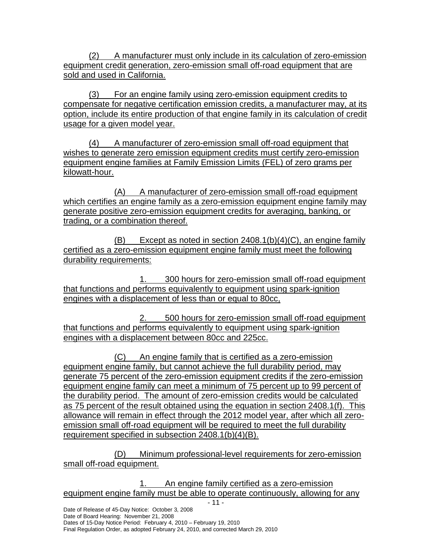(2) A manufacturer must only include in its calculation of zero-emission equipment credit generation, zero-emission small off-road equipment that are sold and used in California.

 $(3)$  compensate for negative certification emission credits, a manufacturer may, at its option, include its entire production of that engine family in its calculation of credit usage for a given model year. For an engine family using zero-emission equipment credits to

 (4) A manufacturer of zero-emission small off-road equipment that wishes to generate zero emission equipment credits must certify zero-emission equipment engine families at Family Emission Limits (FEL) of zero grams per kilowatt-hour.

kilowatt-hour.<br>(A) A manufacturer of zero-emission small off-road equipment which certifies an engine family as a zero-emission equipment engine family may generate positive zero-emission equipment credits for averaging, banking, or trading, or a combination thereof.

 $(B)$  certified as a zero-emission equipment engine family must meet the following durability requirements: Except as noted in section  $2408.1(b)(4)(C)$ , an engine family

durability requirements:<br>1. 300 hours for zero-emission small off-road equipment that functions and performs equivalently to equipment using spark-ignition engines with a displacement of less than or equal to 80cc,

 $2.$  that functions and performs equivalently to equipment using spark-ignition engines with a displacement between 80cc and 225cc. 2. 500 hours for zero-emission small off-road equipment

 (C) An engine family that is certified as a zero-emission equipment engine family, but cannot achieve the full durability period, may generate 75 percent of the zero-emission equipment credits if the zero-emission equipment engine family can meet a minimum of 75 percent up to 99 percent of the durability period. The amount of zero-emission credits would be calculated as 75 percent of the result obtained using the equation in section 2408.1(f). This allowance will remain in effect through the 2012 model year, after which all zeroemission small off-road equipment will be required to meet the full durability requirement specified in subsection 2408.1(b)(4)(B).

 (D) Minimum professional-level requirements for zero-emission small off-road equipment.

 $1.$  equipment engine family must be able to operate continuously, allowing for any 1. An engine family certified as a zero-emission

Dates of 15-Day Notice Period: February 4, 2010 – February 19, 2010

Final Regulation Order, as adopted February 24, 2010, and corrected March 29, 2010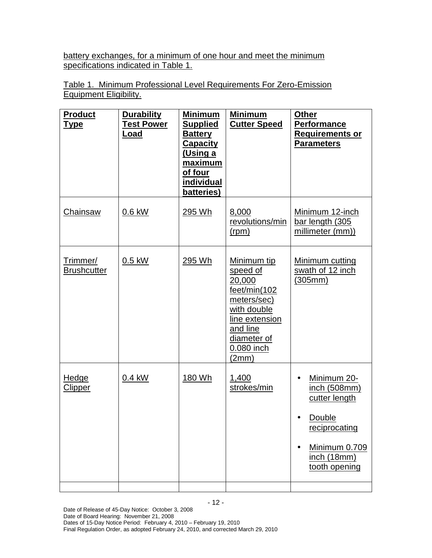battery exchanges, for a minimum of one hour and meet the minimum specifications indicated in Table 1.

 Table 1. Minimum Professional Level Requirements For Zero-Emission Equipment Eligibility.

| <b>Product</b><br><u>Type</u>  | <b>Durability</b><br><b>Test Power</b><br><u>Load</u> | <b>Minimum</b><br><b>Supplied</b><br><b>Battery</b><br><b>Capacity</b><br><u>(Using a</u><br>maximum<br>of four<br><b>individual</b><br>batteries) | <b>Minimum</b><br><b>Cutter Speed</b>                                                                                                                | <b>Other</b><br><b>Performance</b><br><b>Requirements or</b><br><b>Parameters</b>                                        |
|--------------------------------|-------------------------------------------------------|----------------------------------------------------------------------------------------------------------------------------------------------------|------------------------------------------------------------------------------------------------------------------------------------------------------|--------------------------------------------------------------------------------------------------------------------------|
| Chainsaw                       | $0.6$ kW                                              | 295 Wh                                                                                                                                             | 8,000<br>revolutions/min<br>(rpm)                                                                                                                    | Minimum 12-inch<br>bar length (305<br>millimeter (mm))                                                                   |
| Trimmer/<br><b>Brushcutter</b> | $0.5$ kW                                              | 295 Wh                                                                                                                                             | Minimum tip<br>speed of<br>20,000<br>feet/min(102)<br>meters/sec)<br>with double<br>line extension<br>and line<br>diameter of<br>0.080 inch<br>(2mm) | Minimum cutting<br>swath of 12 inch<br>(305mm)                                                                           |
| <b>Hedge</b><br><b>Clipper</b> | 0.4 kW                                                | 180 Wh                                                                                                                                             | 1,400<br>strokes/min                                                                                                                                 | Minimum 20-<br>inch (508mm)<br>cutter length<br>Double<br>reciprocating<br>Minimum 0.709<br>inch (18mm)<br>tooth opening |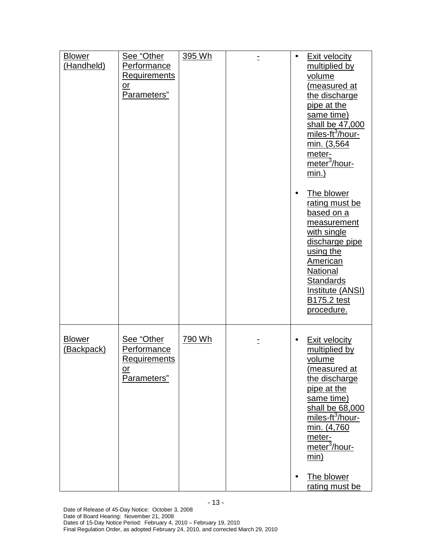| <b>Blower</b><br>(Handheld) | See "Other<br><b>Performance</b><br><b>Requirements</b><br>$\overline{\text{or}}$<br>Parameters" | 395 Wh | $\bullet$              | <b>Exit velocity</b><br>multiplied by<br>volume<br>(measured at<br>the discharge<br>pipe at the<br>same time)<br>shall be 47,000<br>miles-ft <sup>3</sup> /hour-<br>min. (3,564<br>meter-<br>meter <sup>3</sup> /hour-<br>$min.$ )                             |
|-----------------------------|--------------------------------------------------------------------------------------------------|--------|------------------------|----------------------------------------------------------------------------------------------------------------------------------------------------------------------------------------------------------------------------------------------------------------|
|                             |                                                                                                  |        | $\bullet$              | The blower<br>rating must be<br>based on a<br>measurement<br>with single<br>discharge pipe<br>using the<br>American<br>National<br><b>Standards</b><br>Institute (ANSI)<br><b>B175.2 test</b><br>procedure.                                                    |
| <b>Blower</b><br>(Backpack) | See "Other<br><b>Performance</b><br><b>Requirements</b><br>or<br>Parameters"                     | 790 Wh | $\bullet$<br>$\bullet$ | <b>Exit velocity</b><br>multiplied by<br>volume<br>(measured at<br>the discharge<br>pipe at the<br>same time)<br>shall be 68,000<br>miles-ft <sup>3</sup> /hour-<br>min. (4,760<br>meter-<br>meter <sup>3</sup> /hour-<br>min)<br>The blower<br>rating must be |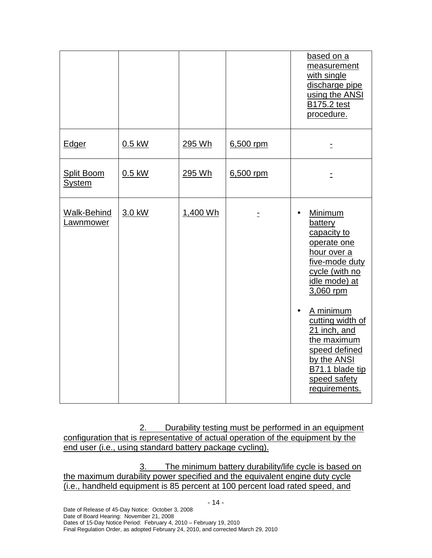|                                    |          |          |           | based on a<br>measurement<br>with single<br>discharge pipe<br>using the ANSI<br><b>B175.2 test</b><br>procedure.                                                                                                                                                                      |
|------------------------------------|----------|----------|-----------|---------------------------------------------------------------------------------------------------------------------------------------------------------------------------------------------------------------------------------------------------------------------------------------|
| Edger                              | $0.5$ kW | 295 Wh   | 6,500 rpm |                                                                                                                                                                                                                                                                                       |
| <b>Split Boom</b><br><b>System</b> | $0.5$ kW | 295 Wh   | 6,500 rpm |                                                                                                                                                                                                                                                                                       |
| <b>Walk-Behind</b><br>Lawnmower    | 3.0 kW   | 1,400 Wh |           | Minimum<br>battery<br>capacity to<br>operate one<br>hour over a<br>five-mode duty<br>cycle (with no<br>idle mode) at<br>3,060 rpm<br>A minimum<br>cutting width of<br>21 inch, and<br>the maximum<br>speed defined<br>by the ANSI<br>B71.1 blade tip<br>speed safety<br>requirements. |

2. Durability testing must be performed in an equipment configuration that is representative of actual operation of the equipment by the end user (i.e., using standard battery package cycling).

<u>3.</u> the maximum durability power specified and the equivalent engine duty cycle (i.e., handheld equipment is 85 percent at 100 percent load rated speed, and The minimum battery durability/life cycle is based on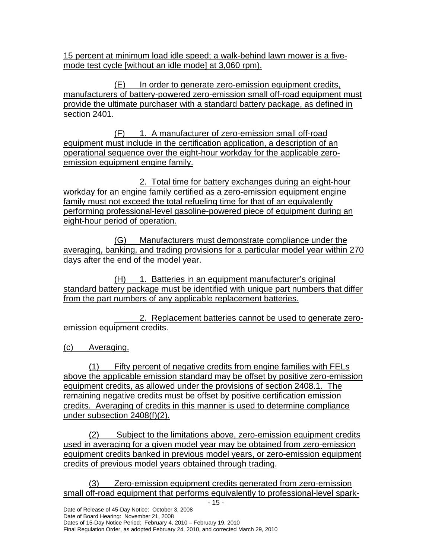15 percent at minimum load idle speed; a walk-behind lawn mower is a five-mode test cycle [without an idle mode] at 3,060 rpm).

(E) In order to generate zero-emission equipment credits, manufacturers of battery-powered zero-emission small off-road equipment must provide the ultimate purchaser with a standard battery package, as defined in section 2401.

(F) 1. A manufacturer of zero-emission small off-road equipment must include in the certification application, a description of an operational sequence over the eight-hour workday for the applicable zero-emission equipment engine family.

 2. Total time for battery exchanges during an eight-hour workday for an engine family certified as a zero-emission equipment engine family must not exceed the total refueling time for that of an equivalently performing professional-level gasoline-powered piece of equipment during an eight-hour period of operation.

 (G) Manufacturers must demonstrate compliance under the averaging, banking, and trading provisions for a particular model year within 270 days after the end of the model year.

(H) 1. Batteries in an equipment manufacturer's original standard battery package must be identified with unique part numbers that differ from the part numbers of any applicable replacement batteries.

l emission equipment credits. 2. Replacement batteries cannot be used to generate zero-

(c) Averaging.

 $(1)$  above the applicable emission standard may be offset by positive zero-emission equipment credits, as allowed under the provisions of section 2408.1. The remaining negative credits must be offset by positive certification emission credits. Averaging of credits in this manner is used to determine compliance under subsection 2408(f)(2). Fifty percent of negative credits from engine families with FELs

 $(2)$  used in averaging for a given model year may be obtained from zero-emission equipment credits banked in previous model years, or zero-emission equipment credits of previous model years obtained through trading. Subject to the limitations above, zero-emission equipment credits

 (3) Zero-emission equipment credits generated from zero-emission small off-road equipment that performs equivalently to professional-level spark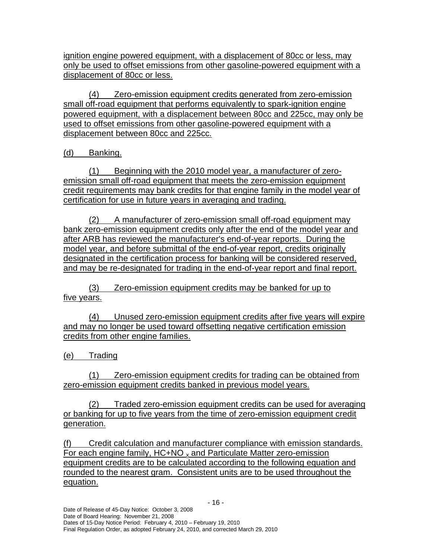ignition engine powered equipment, with a displacement of 80cc or less, may only be used to offset emissions from other gasoline-powered equipment with a displacement of 80cc or less.

 (4) Zero-emission equipment credits generated from zero-emission small off-road equipment that performs equivalently to spark-ignition engine powered equipment, with a displacement between 80cc and 225cc, may only be used to offset emissions from other gasoline-powered equipment with a displacement between 80cc and 225cc.

(d) Banking.

 (1) Beginning with the 2010 model year, a manufacturer of zero- emission small off-road equipment that meets the zero-emission equipment credit requirements may bank credits for that engine family in the model year of certification for use in future years in averaging and trading.

 (2) A manufacturer of zero-emission small off-road equipment may bank zero-emission equipment credits only after the end of the model year and after ARB has reviewed the manufacturer's end-of-year reports. During the model year, and before submittal of the end-of-year report, credits originally designated in the certification process for banking will be considered reserved, and may be re-designated for trading in the end-of-year report and final report.

 (3) Zero-emission equipment credits may be banked for up to five years.

 (4) Unused zero-emission equipment credits after five years will expire and may no longer be used toward offsetting negative certification emission credits from other engine families.

(e) Trading

 (1) Zero-emission equipment credits for trading can be obtained from zero-emission equipment credits banked in previous model years.

 $(2)$  or banking for up to five years from the time of zero-emission equipment credit Traded zero-emission equipment credits can be used for averaging generation.

 $(f)$ For each engine family,  $HC+NO_{x}$  and Particulate Matter zero-emission equipment credits are to be calculated according to the following equation and rounded to the nearest gram. Consistent units are to be used throughout the Credit calculation and manufacturer compliance with emission standards. equation.

Final Regulation Order, as adopted February 24, 2010, and corrected March 29, 2010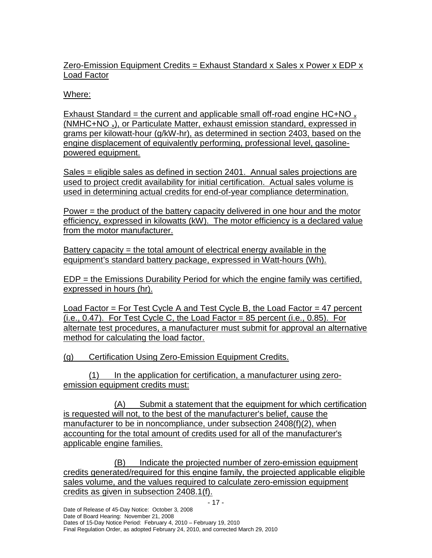Zero-Emission Equipment Credits = Exhaust Standard x Sales x Power x EDP x Load Factor

## Where:

Exhaust Standard = the current and applicable small off-road engine HC+NO  $_{\text{x}}$ (NMHC+NO<sub>x</sub>), or Particulate Matter, exhaust emission standard, expressed in grams per kilowatt-hour (g/kW-hr), as determined in section 2403, based on the engine displacement of equivalently performing, professional level, gasoline-powered equipment.

Sales = eligible sales as defined in section 2401. Annual sales projections are used to project credit availability for initial certification. Actual sales volume is used in determining actual credits for end-of-year compliance determination.

Power = the product of the battery capacity delivered in one hour and the motor efficiency, expressed in kilowatts (kW). The motor efficiency is a declared value from the motor manufacturer.

Battery capacity = the total amount of electrical energy available in the equipment's standard battery package, expressed in Watt-hours (Wh).

 EDP = the Emissions Durability Period for which the engine family was certified, expressed in hours (hr).

Load Factor = For Test Cycle A and Test Cycle B, the Load Factor = 47 percent  $(i.e., 0.47)$ . For Test Cycle C, the Load Factor = 85 percent  $(i.e., 0.85)$ . For alternate test procedures, a manufacturer must submit for approval an alternative method for calculating the load factor.

(g) Certification Using Zero-Emission Equipment Credits.

(1) In the application for certification, a manufacturer using zeroemission equipment credits must:

 (A) Submit a statement that the equipment for which certification is requested will not, to the best of the manufacturer's belief, cause the manufacturer to be in noncompliance, under subsection 2408(f)(2), when accounting for the total amount of credits used for all of the manufacturer's applicable engine families.

(B) credits generated/required for this engine family, the projected applicable eligible sales volume, and the values required to calculate zero-emission equipment credits as given in subsection 2408.1(f). Indicate the projected number of zero-emission equipment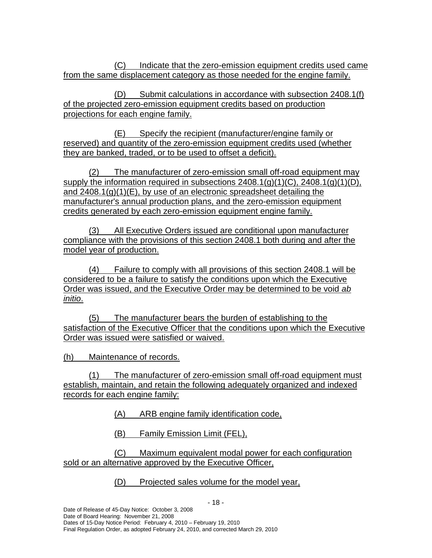$(C)$ from the same displacement category as those needed for the engine family. Indicate that the zero-emission equipment credits used came

 (D) Submit calculations in accordance with subsection 2408.1(f) of the projected zero-emission equipment credits based on production projections for each engine family.

 (E) Specify the recipient (manufacturer/engine family or reserved) and quantity of the zero-emission equipment credits used (whether they are banked, traded, or to be used to offset a deficit).

 $(2)$ supply the information required in subsections  $2408.1(q)(1)(C)$ ,  $2408.1(q)(1)(D)$ , and 2408.1(g)(1)(E), by use of an electronic spreadsheet detailing the manufacturer's annual production plans, and the zero-emission equipment credits generated by each zero-emission equipment engine family. The manufacturer of zero-emission small off-road equipment may

 (3) All Executive Orders issued are conditional upon manufacturer compliance with the provisions of this section 2408.1 both during and after the model year of production.

 $(4)$  considered to be a failure to satisfy the conditions upon which the Executive Order was issued, and the Executive Order may be determined to be void ab Failure to comply with all provisions of this section 2408.1 will be initio.

 $(5)$  satisfaction of the Executive Officer that the conditions upon which the Executive Order was issued were satisfied or waived. The manufacturer bears the burden of establishing to the

(h) Maintenance of records.

 (1) The manufacturer of zero-emission small off-road equipment must establish, maintain, and retain the following adequately organized and indexed records for each engine family:

(A) ARB engine family identification code,

(B) Family Emission Limit (FEL),

 (C) Maximum equivalent modal power for each configuration sold or an alternative approved by the Executive Officer,

(D) Projected sales volume for the model year,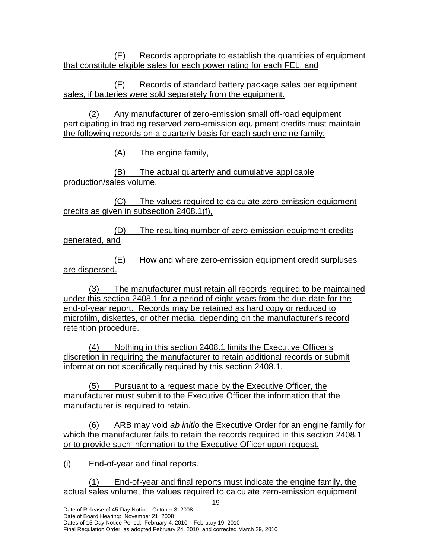(E) Records appropriate to establish the quantities of equipment that constitute eligible sales for each power rating for each FEL, and

 (F) Records of standard battery package sales per equipment sales, if batteries were sold separately from the equipment.

 (2) Any manufacturer of zero-emission small off-road equipment participating in trading reserved zero-emission equipment credits must maintain the following records on a quarterly basis for each such engine family:

(A) The engine family,

(B) production/sales volume, The actual quarterly and cumulative applicable

 (C) The values required to calculate zero-emission equipment credits as given in subsection 2408.1(f),

 $(D)$  generated, and The resulting number of zero-emission equipment credits

(E) are dispersed. How and where zero-emission equipment credit surpluses

 (3) The manufacturer must retain all records required to be maintained under this section 2408.1 for a period of eight years from the due date for the end-of-year report. Records may be retained as hard copy or reduced to microfilm, diskettes, or other media, depending on the manufacturer's record retention procedure.

 (4) Nothing in this section 2408.1 limits the Executive Officer's discretion in requiring the manufacturer to retain additional records or submit information not specifically required by this section 2408.1.

 (5) Pursuant to a request made by the Executive Officer, the manufacturer must submit to the Executive Officer the information that the manufacturer is required to retain.

 $(6)$ which the manufacturer fails to retain the records required in this section 2408.1 or to provide such information to the Executive Officer upon request. ARB may void ab initio the Executive Order for an engine family for

(i) End-of-year and final reports.

 (1) End-of-year and final reports must indicate the engine family, the actual sales volume, the values required to calculate zero-emission equipment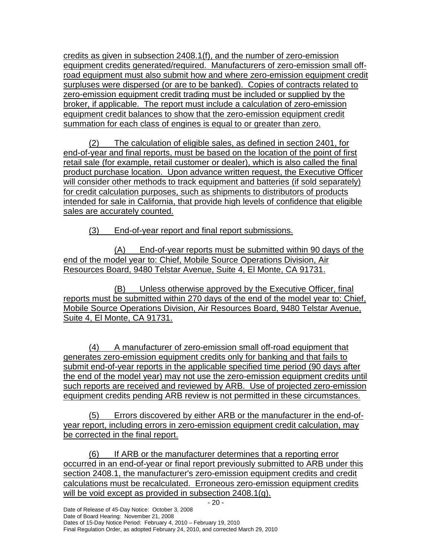credits as given in subsection 2408.1(f), and the number of zero-emission equipment credits generated/required. Manufacturers of zero-emission small off- road equipment must also submit how and where zero-emission equipment credit surpluses were dispersed (or are to be banked). Copies of contracts related to zero-emission equipment credit trading must be included or supplied by the broker, if applicable. The report must include a calculation of zero-emission equipment credit balances to show that the zero-emission equipment credit summation for each class of engines is equal to or greater than zero.

 (2) The calculation of eligible sales, as defined in section 2401, for end-of-year and final reports, must be based on the location of the point of first retail sale (for example, retail customer or dealer), which is also called the final product purchase location. Upon advance written request, the Executive Officer will consider other methods to track equipment and batteries (if sold separately) for credit calculation purposes, such as shipments to distributors of products intended for sale in California, that provide high levels of confidence that eligible sales are accurately counted.

(3) End-of-year report and final report submissions.

 (A) End-of-year reports must be submitted within 90 days of the end of the model year to: Chief, Mobile Source Operations Division, Air Resources Board, 9480 Telstar Avenue, Suite 4, El Monte, CA 91731.

 (B) Unless otherwise approved by the Executive Officer, final reports must be submitted within 270 days of the end of the model year to: Chief, Mobile Source Operations Division, Air Resources Board, 9480 Telstar Avenue, Suite 4, El Monte, CA 91731.

 (4) A manufacturer of zero-emission small off-road equipment that generates zero-emission equipment credits only for banking and that fails to submit end-of-year reports in the applicable specified time period (90 days after the end of the model year) may not use the zero-emission equipment credits until such reports are received and reviewed by ARB. Use of projected zero-emission equipment credits pending ARB review is not permitted in these circumstances.

 $(5)$  year report, including errors in zero-emission equipment credit calculation, may be corrected in the final report. Errors discovered by either ARB or the manufacturer in the end-of-

 (6) If ARB or the manufacturer determines that a reporting error occurred in an end-of-year or final report previously submitted to ARB under this section 2408.1, the manufacturer's zero-emission equipment credits and credit calculations must be recalculated. Erroneous zero-emission equipment credits will be void except as provided in subsection 2408.1(g).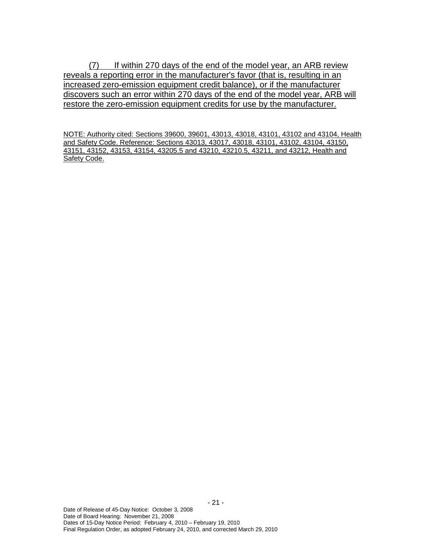(7) If within 270 days of the end of the model year, an ARB review reveals a reporting error in the manufacturer's favor (that is, resulting in an increased zero-emission equipment credit balance), or if the manufacturer discovers such an error within 270 days of the end of the model year, ARB will restore the zero-emission equipment credits for use by the manufacturer.

 NOTE: Authority cited: Sections 39600, 39601, 43013, 43018, 43101, 43102 and 43104, Health and Safety Code. Reference: Sections 43013, 43017, 43018, 43101, 43102, 43104, 43150, 43151, 43152, 43153, 43154, 43205.5 and 43210, 43210.5, 43211, and 43212, Health and Safety Code.